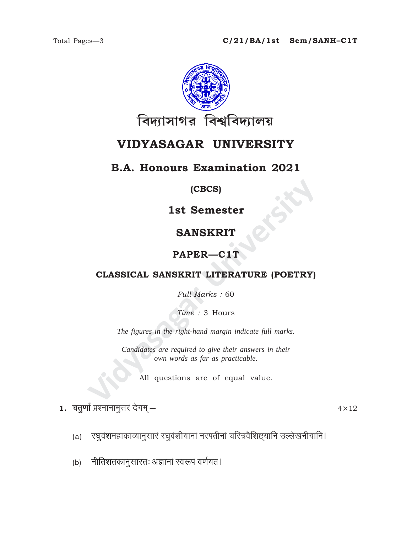

# VIDYASAGAR UNIVERSITY

### **B.A. Honours Examination 2021**

#### (CBCS)

**1st Semester** 

# **SANSKRIT**

# PAPER-C1T

# CLASSICAL SANSKRIT LITERATURE (POETRY)

Full Marks: 60

Time: 3 Hours

The figures in the right-hand margin indicate full marks.

Candidates are required to give their answers in their own words as far as practicable.

All questions are of equal value.

 $\, {\bf 1.}\,$  चतुर्णां प्रश्नानामूत्तरं देयम् —

 $4 \times 12$ 

- रघुवंशमहाकाव्यानुसारं रघुवंशीयानां नरपतीनां चरित्रवैशिष्ट्यानि उल्लेखनीयानि।  $(a)$
- नीतिशतकानुसारतः अज्ञानां स्वरूपं वर्णयत।  $(b)$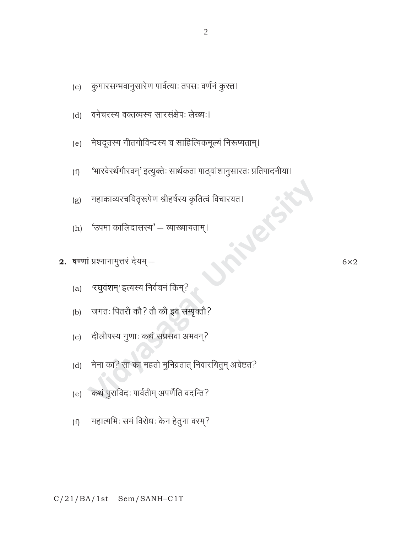#### महात्मभिः समं विरोधः केन हेतुना वरम्?  $(f)$

- (e) कथं पुराविदः पार्वतीम् अपर्णेति वदन्ति?
- 

मेना का? सा कां महतो मुनिव्रतात् निवारयितुम् अचेष्टत?

जगतः पितरौ कौ? तौ कौ इव सम्पृक्तौ?

- दीलीपस्य गुणाः कथं सप्रसवा अभवन्?  $(c)$
- (a) 'रघुवंशम्' इत्यस्य निर्वचनं किम्?
- 

2. षण्णां प्रश्नानामुत्तरं देयम् $-$ 

 $(h)$ 

 $(b)$ 

 $(d)$ 

- 
- 'उपमा कालिदासस्य' व्याख्यायताम्।
- RISE महाकाव्यरचयितृरूपेण श्रीहर्षस्य कृतित्वं विचारयत।  $(g)$
- 'भारवेरर्थगौरवम्' इत्युक्तेः सार्थकता पाठ्यांशानुसारतः प्रतिपादनीया।  $(f)$
- मेघदूतस्य गीतगोविन्दस्य च साहित्यिकमूल्यं निरूप्यताम्।  $(e)$
- वनेचरस्य वक्तव्यस्य सारसंक्षेपः लेख्यः।  $(d)$
- (c) कुमारसम्भवानुसारेण पार्वत्याः तपसः वर्णनं कुरत्त।

 $6\times2$ 

 $\sqrt{2}$